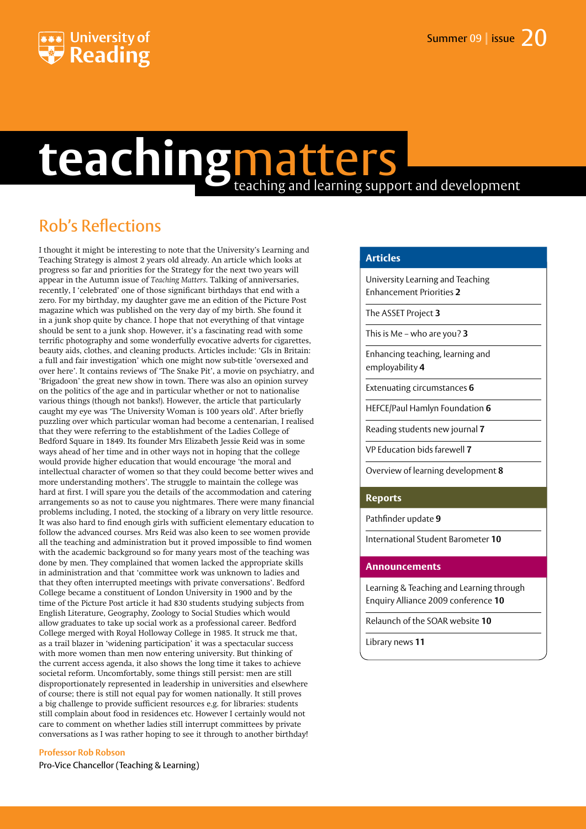

## teaching matters

## Rob's Reflections

I thought it might be interesting to note that the University's Learning and Teaching Strategy is almost 2 years old already. An article which looks at progress so far and priorities for the Strategy for the next two years will appear in the Autumn issue of *Teaching Matters*. Talking of anniversaries, recently, I 'celebrated' one of those significant birthdays that end with a zero. For my birthday, my daughter gave me an edition of the Picture Post magazine which was published on the very day of my birth. She found it in a junk shop quite by chance. I hope that not everything of that vintage should be sent to a junk shop. However, it's a fascinating read with some terrific photography and some wonderfully evocative adverts for cigarettes, beauty aids, clothes, and cleaning products. Articles include: 'GIs in Britain: a full and fair investigation' which one might now sub-title 'oversexed and over here'. It contains reviews of 'The Snake Pit', a movie on psychiatry, and 'Brigadoon' the great new show in town. There was also an opinion survey on the politics of the age and in particular whether or not to nationalise various things (though not banks!). However, the article that particularly caught my eye was 'The University Woman is 100 years old'. After briefly puzzling over which particular woman had become a centenarian, I realised that they were referring to the establishment of the Ladies College of Bedford Square in 1849. Its founder Mrs Elizabeth Jessie Reid was in some ways ahead of her time and in other ways not in hoping that the college would provide higher education that would encourage 'the moral and intellectual character of women so that they could become better wives and more understanding mothers'. The struggle to maintain the college was hard at first. I will spare you the details of the accommodation and catering arrangements so as not to cause you nightmares. There were many financial problems including, I noted, the stocking of a library on very little resource. It was also hard to find enough girls with sufficient elementary education to follow the advanced courses. Mrs Reid was also keen to see women provide all the teaching and administration but it proved impossible to find women with the academic background so for many years most of the teaching was done by men. They complained that women lacked the appropriate skills in administration and that 'committee work was unknown to ladies and that they often interrupted meetings with private conversations'. Bedford College became a constituent of London University in 1900 and by the time of the Picture Post article it had 830 students studying subjects from English Literature, Geography, Zoology to Social Studies which would allow graduates to take up social work as a professional career. Bedford College merged with Royal Holloway College in 1985. It struck me that, as a trail blazer in 'widening participation' it was a spectacular success with more women than men now entering university. But thinking of the current access agenda, it also shows the long time it takes to achieve societal reform. Uncomfortably, some things still persist: men are still disproportionately represented in leadership in universities and elsewhere of course; there is still not equal pay for women nationally. It still proves a big challenge to provide sufficient resources e.g. for libraries: students still complain about food in residences etc. However I certainly would not care to comment on whether ladies still interrupt committees by private conversations as I was rather hoping to see it through to another birthday!

#### **Professor Rob Robson**

Pro-Vice Chancellor (Teaching & Learning)

#### **Articles**

University Learning and Teaching Enhancement Priorities **2**

The ASSET Project **3**

This is Me – who are you? **3**

Enhancing teaching, learning and employability **4**

Extenuating circumstances **6**

HEFCE/Paul Hamlyn Foundation **6**

Reading students new journal **7**

VP Education bids farewell **7**

Overview of learning development **8**

#### **Reports**

Pathfinder update **9**

International Student Barometer **10**

#### **Announcements**

Learning & Teaching and Learning through Enquiry Alliance 2009 conference **10**

Relaunch of the SOAR website **10**

Library news **11**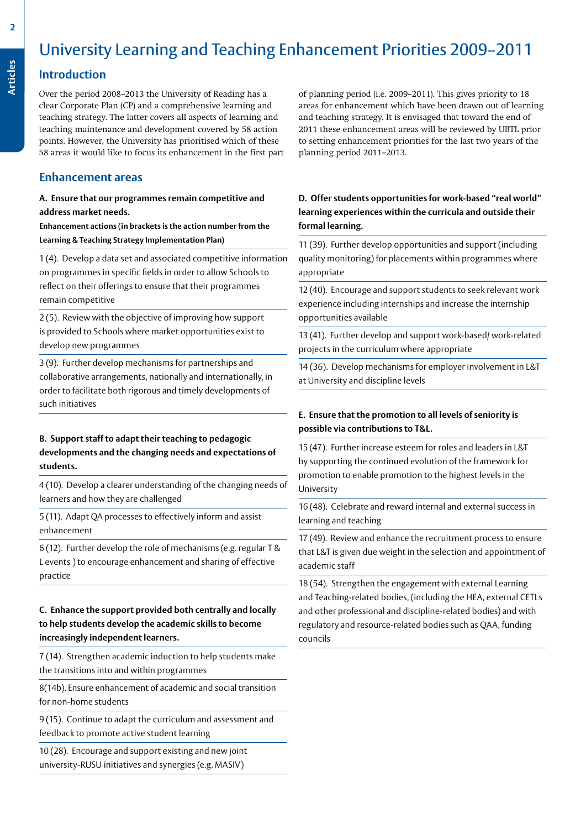## University Learning and Teaching Enhancement Priorities 2009–2011

#### **Introduction**

Over the period 2008–2013 the University of Reading has a clear Corporate Plan (CP) and a comprehensive learning and teaching strategy. The latter covers all aspects of learning and teaching maintenance and development covered by 58 action points. However, the University has prioritised which of these 58 areas it would like to focus its enhancement in the first part

#### **Enhancement areas**

#### **A. Ensure that our programmes remain competitive and address market needs.**

**Enhancement actions (in brackets is the action number from the Learning & Teaching Strategy Implementation Plan)**

1 (4). Develop a data set and associated competitive information on programmes in specific fields in order to allow Schools to reflect on their offerings to ensure that their programmes remain competitive

2 (5). Review with the objective of improving how support is provided to Schools where market opportunities exist to develop new programmes

3 (9). Further develop mechanisms for partnerships and collaborative arrangements, nationally and internationally, in order to facilitate both rigorous and timely developments of such initiatives

#### **B. Support staff to adapt their teaching to pedagogic developments and the changing needs and expectations of students.**

4 (10). Develop a clearer understanding of the changing needs of learners and how they are challenged

5 (11). Adapt QA processes to effectively inform and assist enhancement

6 (12). Further develop the role of mechanisms (e.g. regular T & L events ) to encourage enhancement and sharing of effective practice

#### **C. Enhance the support provided both centrally and locally to help students develop the academic skills to become increasingly independent learners.**

7 (14). Strengthen academic induction to help students make the transitions into and within programmes

8(14b). Ensure enhancement of academic and social transition for non-home students

9 (15). Continue to adapt the curriculum and assessment and feedback to promote active student learning

10 (28). Encourage and support existing and new joint university-RUSU initiatives and synergies (e.g. MASIV)

of planning period (i.e. 2009–2011). This gives priority to 18 areas for enhancement which have been drawn out of learning and teaching strategy. It is envisaged that toward the end of 2011 these enhancement areas will be reviewed by UBTL prior to setting enhancement priorities for the last two years of the planning period 2011–2013.

#### **D. Offer students opportunities for work-based "real world" learning experiences within the curricula and outside their formal learning.**

11 (39). Further develop opportunities and support (including quality monitoring) for placements within programmes where appropriate

12 (40). Encourage and support students to seek relevant work experience including internships and increase the internship opportunities available

13 (41). Further develop and support work-based/ work-related projects in the curriculum where appropriate

14 (36). Develop mechanisms for employer involvement in L&T at University and discipline levels

#### **E. Ensure that the promotion to all levels of seniority is possible via contributions to T&L.**

15 (47). Further increase esteem for roles and leaders in L&T by supporting the continued evolution of the framework for promotion to enable promotion to the highest levels in the University

16 (48). Celebrate and reward internal and external success in learning and teaching

17 (49). Review and enhance the recruitment process to ensure that L&T is given due weight in the selection and appointment of academic staff

18 (54). Strengthen the engagement with external Learning and Teaching-related bodies, (including the HEA, external CETLs and other professional and discipline-related bodies) and with regulatory and resource-related bodies such as QAA, funding councils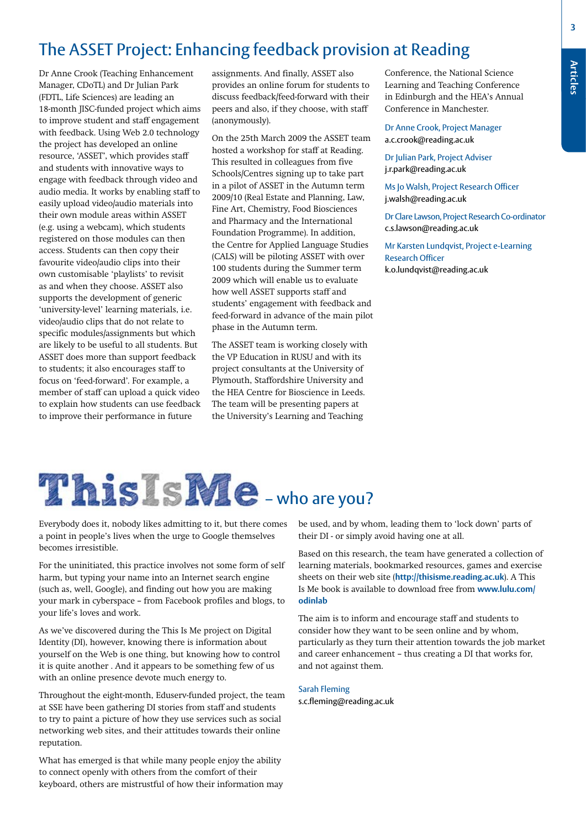## The ASSET Project: Enhancing feedback provision at Reading

Dr Anne Crook (Teaching Enhancement Manager, CDoTL) and Dr Julian Park (FDTL, Life Sciences) are leading an 18-month JISC-funded project which aims to improve student and staff engagement with feedback. Using Web 2.0 technology the project has developed an online resource, 'ASSET', which provides staff and students with innovative ways to engage with feedback through video and audio media. It works by enabling staff to easily upload video/audio materials into their own module areas within ASSET (e.g. using a webcam), which students registered on those modules can then access. Students can then copy their favourite video/audio clips into their own customisable 'playlists' to revisit as and when they choose. ASSET also supports the development of generic 'university-level' learning materials, i.e. video/audio clips that do not relate to specific modules/assignments but which are likely to be useful to all students. But ASSET does more than support feedback to students; it also encourages staff to focus on 'feed-forward'. For example, a member of staff can upload a quick video to explain how students can use feedback to improve their performance in future

assignments. And finally, ASSET also provides an online forum for students to discuss feedback/feed-forward with their peers and also, if they choose, with staff (anonymously).

On the 25th March 2009 the ASSET team hosted a workshop for staff at Reading. This resulted in colleagues from five Schools/Centres signing up to take part in a pilot of ASSET in the Autumn term 2009/10 (Real Estate and Planning, Law, Fine Art, Chemistry, Food Biosciences and Pharmacy and the International Foundation Programme). In addition, the Centre for Applied Language Studies (CALS) will be piloting ASSET with over 100 students during the Summer term 2009 which will enable us to evaluate how well ASSET supports staff and students' engagement with feedback and feed-forward in advance of the main pilot phase in the Autumn term.

The ASSET team is working closely with the VP Education in RUSU and with its project consultants at the University of Plymouth, Staffordshire University and the HEA Centre for Bioscience in Leeds. The team will be presenting papers at the University's Learning and Teaching

Conference, the National Science Learning and Teaching Conference in Edinburgh and the HEA's Annual Conference in Manchester.

Dr Anne Crook, Project Manager a.c.crook@reading.ac.uk

Dr Julian Park, Project Adviser j.r.park@reading.ac.uk

Ms Jo Walsh, Project Research Officer j.walsh@reading.ac.uk

Dr Clare Lawson, Project Research Co-ordinator c.s.lawson@reading.ac.uk

Mr Karsten Lundqvist, Project e-Learning Research Officer k.o.lundqvist@reading.ac.uk



Everybody does it, nobody likes admitting to it, but there comes a point in people's lives when the urge to Google themselves becomes irresistible.

For the uninitiated, this practice involves not some form of self harm, but typing your name into an Internet search engine (such as, well, Google), and finding out how you are making your mark in cyberspace – from Facebook profiles and blogs, to your life's loves and work.

As we've discovered during the This Is Me project on Digital Identity (DI), however, knowing there is information about yourself on the Web is one thing, but knowing how to control it is quite another . And it appears to be something few of us with an online presence devote much energy to.

Throughout the eight-month, Eduserv-funded project, the team at SSE have been gathering DI stories from staff and students to try to paint a picture of how they use services such as social networking web sites, and their attitudes towards their online reputation.

What has emerged is that while many people enjoy the ability to connect openly with others from the comfort of their keyboard, others are mistrustful of how their information may be used, and by whom, leading them to 'lock down' parts of their DI - or simply avoid having one at all.

Based on this research, the team have generated a collection of learning materials, bookmarked resources, games and exercise sheets on their web site (**http://thisisme.reading.ac.uk**). A This Is Me book is available to download free from **www.lulu.com/ odinlab**

The aim is to inform and encourage staff and students to consider how they want to be seen online and by whom, particularly as they turn their attention towards the job market and career enhancement – thus creating a DI that works for, and not against them.

#### Sarah Fleming

s.c.fleming@reading.ac.uk

**Articles**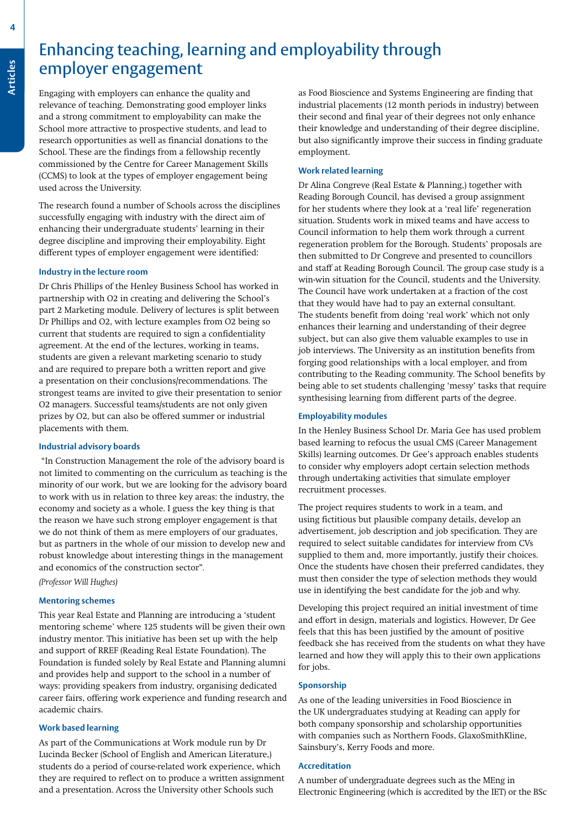# **Articles**

## **Enhancing teaching, learning and employability through<br>
<b>Articles**<br> **Articles**<br> **Articles**<br> **Articles**<br> **Articles**<br> **Articles**<br> **Articles**<br> **Articles**<br> **Articles**<br> **Articles**<br> **Articles**<br> **Articles**<br> **Articles**<br> **Articles** employer engagement

Engaging with employers can enhance the quality and relevance of teaching. Demonstrating good employer links and a strong commitment to employability can make the School more attractive to prospective students, and lead to research opportunities as well as financial donations to the School. These are the findings from a fellowship recently commissioned by the Centre for Career Management Skills (CCMS) to look at the types of employer engagement being used across the University.

The research found a number of Schools across the disciplines successfully engaging with industry with the direct aim of enhancing their undergraduate students' learning in their degree discipline and improving their employability. Eight different types of employer engagement were identified:

#### **Industry in the lecture room**

Dr Chris Phillips of the Henley Business School has worked in partnership with O2 in creating and delivering the School's part 2 Marketing module. Delivery of lectures is split between Dr Phillips and O2, with lecture examples from O2 being so current that students are required to sign a confidentiality agreement. At the end of the lectures, working in teams, students are given a relevant marketing scenario to study and are required to prepare both a written report and give a presentation on their conclusions/recommendations. The strongest teams are invited to give their presentation to senior O2 managers. Successful teams/students are not only given prizes by O2, but can also be offered summer or industrial placements with them.

#### **Industrial advisory boards**

"In Construction Management the role of the advisory board is not limited to commenting on the curriculum as teaching is the minority of our work, but we are looking for the advisory board to work with us in relation to three key areas: the industry, the economy and society as a whole. I guess the key thing is that the reason we have such strong employer engagement is that we do not think of them as mere employers of our graduates, but as partners in the whole of our mission to develop new and robust knowledge about interesting things in the management and economics of the construction sector"*.*

*(Professor Will Hughes)*

#### **Mentoring schemes**

This year Real Estate and Planning are introducing a 'student mentoring scheme' where 125 students will be given their own industry mentor. This initiative has been set up with the help and support of RREF (Reading Real Estate Foundation). The Foundation is funded solely by Real Estate and Planning alumni and provides help and support to the school in a number of ways: providing speakers from industry, organising dedicated career fairs, offering work experience and funding research and academic chairs.

#### **Work based learning**

As part of the Communications at Work module run by Dr Lucinda Becker (School of English and American Literature,) students do a period of course-related work experience, which they are required to reflect on to produce a written assignment and a presentation. Across the University other Schools such

as Food Bioscience and Systems Engineering are finding that industrial placements (12 month periods in industry) between their second and final year of their degrees not only enhance their knowledge and understanding of their degree discipline, but also significantly improve their success in finding graduate employment.

#### **Work related learning**

Dr Alina Congreve (Real Estate & Planning,) together with Reading Borough Council, has devised a group assignment for her students where they look at a 'real life' regeneration situation. Students work in mixed teams and have access to Council information to help them work through a current regeneration problem for the Borough. Students' proposals are then submitted to Dr Congreve and presented to councillors and staff at Reading Borough Council. The group case study is a win-win situation for the Council, students and the University. The Council have work undertaken at a fraction of the cost that they would have had to pay an external consultant. The students benefit from doing 'real work' which not only enhances their learning and understanding of their degree subject, but can also give them valuable examples to use in job interviews. The University as an institution benefits from forging good relationships with a local employer, and from contributing to the Reading community. The School benefits by being able to set students challenging 'messy' tasks that require synthesising learning from different parts of the degree.

#### **Employability modules**

In the Henley Business School Dr. Maria Gee has used problem based learning to refocus the usual CMS (Career Management Skills) learning outcomes. Dr Gee's approach enables students to consider why employers adopt certain selection methods through undertaking activities that simulate employer recruitment processes.

The project requires students to work in a team, and using fictitious but plausible company details, develop an advertisement, job description and job specification. They are required to select suitable candidates for interview from CVs supplied to them and, more importantly, justify their choices. Once the students have chosen their preferred candidates, they must then consider the type of selection methods they would use in identifying the best candidate for the job and why.

Developing this project required an initial investment of time and effort in design, materials and logistics. However, Dr Gee feels that this has been justified by the amount of positive feedback she has received from the students on what they have learned and how they will apply this to their own applications for jobs.

#### **Sponsorship**

As one of the leading universities in Food Bioscience in the UK undergraduates studying at Reading can apply for both company sponsorship and scholarship opportunities with companies such as Northern Foods, GlaxoSmithKline, Sainsbury's, Kerry Foods and more.

#### **Accreditation**

A number of undergraduate degrees such as the MEng in Electronic Engineering (which is accredited by the IET) or the BSc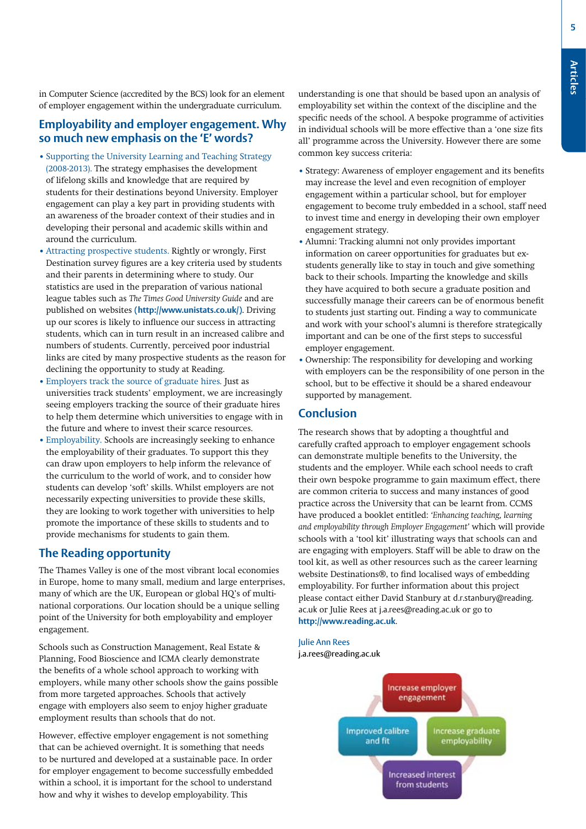**5**

in Computer Science (accredited by the BCS) look for an element of employer engagement within the undergraduate curriculum.

#### **Employability and employer engagement. Why so much new emphasis on the 'E' words?**

- **•** Supporting the University Learning and Teaching Strategy (2008-2013). The strategy emphasises the development of lifelong skills and knowledge that are required by students for their destinations beyond University. Employer engagement can play a key part in providing students with an awareness of the broader context of their studies and in developing their personal and academic skills within and around the curriculum.
- **•** Attracting prospective students. Rightly or wrongly, First Destination survey figures are a key criteria used by students and their parents in determining where to study. Our statistics are used in the preparation of various national league tables such as *The Times Good University Guide* and are published on websites **(http://www.unistats.co.uk/)**. Driving up our scores is likely to influence our success in attracting students, which can in turn result in an increased calibre and numbers of students. Currently, perceived poor industrial links are cited by many prospective students as the reason for declining the opportunity to study at Reading.
- **•** Employers track the source of graduate hires*.* Just as universities track students' employment, we are increasingly seeing employers tracking the source of their graduate hires to help them determine which universities to engage with in the future and where to invest their scarce resources.
- **•** Employability. Schools are increasingly seeking to enhance the employability of their graduates. To support this they can draw upon employers to help inform the relevance of the curriculum to the world of work, and to consider how students can develop 'soft' skills. Whilst employers are not necessarily expecting universities to provide these skills, they are looking to work together with universities to help promote the importance of these skills to students and to provide mechanisms for students to gain them.

#### **The Reading opportunity**

The Thames Valley is one of the most vibrant local economies in Europe, home to many small, medium and large enterprises, many of which are the UK, European or global HQ's of multinational corporations. Our location should be a unique selling point of the University for both employability and employer engagement.

Schools such as Construction Management, Real Estate & Planning, Food Bioscience and ICMA clearly demonstrate the benefits of a whole school approach to working with employers, while many other schools show the gains possible from more targeted approaches. Schools that actively engage with employers also seem to enjoy higher graduate employment results than schools that do not.

However, effective employer engagement is not something that can be achieved overnight. It is something that needs to be nurtured and developed at a sustainable pace. In order for employer engagement to become successfully embedded within a school, it is important for the school to understand how and why it wishes to develop employability. This

understanding is one that should be based upon an analysis of employability set within the context of the discipline and the specific needs of the school. A bespoke programme of activities in individual schools will be more effective than a 'one size fits all' programme across the University. However there are some common key success criteria:

- **•** Strategy: Awareness of employer engagement and its benefits may increase the level and even recognition of employer engagement within a particular school, but for employer engagement to become truly embedded in a school, staff need to invest time and energy in developing their own employer engagement strategy.
- **•** Alumni: Tracking alumni not only provides important information on career opportunities for graduates but exstudents generally like to stay in touch and give something back to their schools. Imparting the knowledge and skills they have acquired to both secure a graduate position and successfully manage their careers can be of enormous benefit to students just starting out. Finding a way to communicate and work with your school's alumni is therefore strategically important and can be one of the first steps to successful employer engagement.
- **•** Ownership: The responsibility for developing and working with employers can be the responsibility of one person in the school, but to be effective it should be a shared endeavour supported by management.

#### **Conclusion**

The research shows that by adopting a thoughtful and carefully crafted approach to employer engagement schools can demonstrate multiple benefits to the University, the students and the employer. While each school needs to craft their own bespoke programme to gain maximum effect, there are common criteria to success and many instances of good practice across the University that can be learnt from. CCMS have produced a booklet entitled: *'Enhancing teaching, learning and employability through Employer Engagement'* which will provide schools with a 'tool kit' illustrating ways that schools can and are engaging with employers. Staff will be able to draw on the tool kit, as well as other resources such as the career learning website Destinations®, to find localised ways of embedding employability. For further information about this project please contact either David Stanbury at d.r.stanbury@reading. ac.uk or Julie Rees at j.a.rees@reading.ac.uk or go to **http://www.reading.ac.uk**.

Julie Ann Rees j.a.rees@reading.ac.uk

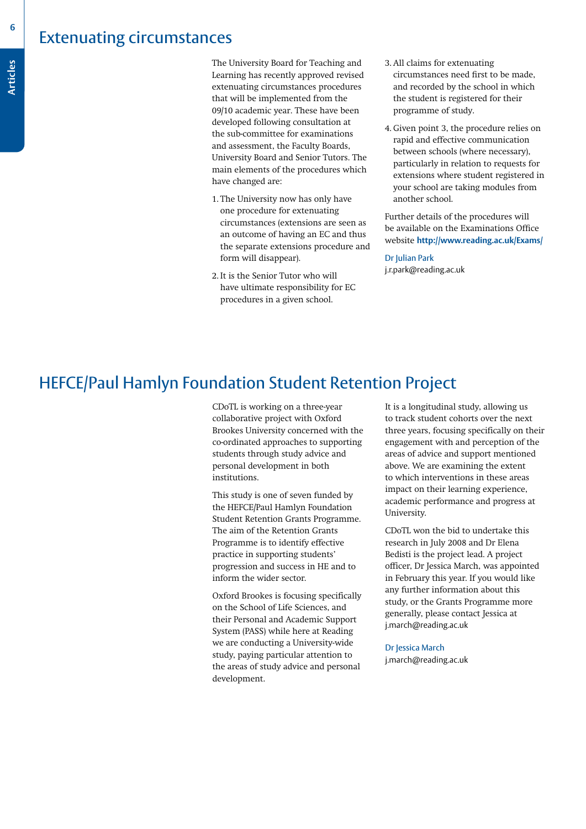### Extenuating circumstances

**6**

The University Board for Teaching and<br>Learning has recently approved revised<br>extenuating circumstances procedures Learning has recently approved revised extenuating circumstances procedures that will be implemented from the 09/10 academic year. These have been developed following consultation at the sub-committee for examinations and assessment, the Faculty Boards, University Board and Senior Tutors. The main elements of the procedures which have changed are:

- 1. The University now has only have one procedure for extenuating circumstances (extensions are seen as an outcome of having an EC and thus the separate extensions procedure and form will disappear).
- 2. It is the Senior Tutor who will have ultimate responsibility for EC procedures in a given school.
- 3. All claims for extenuating circumstances need first to be made, and recorded by the school in which the student is registered for their programme of study.
- 4. Given point 3, the procedure relies on rapid and effective communication between schools (where necessary), particularly in relation to requests for extensions where student registered in your school are taking modules from another school.

Further details of the procedures will be available on the Examinations Office website **http://www.reading.ac.uk/Exams/**

Dr Julian Park j.r.park@reading.ac.uk

## HEFCE/Paul Hamlyn Foundation Student Retention Project

CDoTL is working on a three-year collaborative project with Oxford Brookes University concerned with the co-ordinated approaches to supporting students through study advice and personal development in both institutions.

This study is one of seven funded by the HEFCE/Paul Hamlyn Foundation Student Retention Grants Programme. The aim of the Retention Grants Programme is to identify effective practice in supporting students' progression and success in HE and to inform the wider sector.

Oxford Brookes is focusing specifically on the School of Life Sciences, and their Personal and Academic Support System (PASS) while here at Reading we are conducting a University-wide study, paying particular attention to the areas of study advice and personal development.

It is a longitudinal study, allowing us to track student cohorts over the next three years, focusing specifically on their engagement with and perception of the areas of advice and support mentioned above. We are examining the extent to which interventions in these areas impact on their learning experience, academic performance and progress at University.

CDoTL won the bid to undertake this research in July 2008 and Dr Elena Bedisti is the project lead. A project officer, Dr Jessica March, was appointed in February this year. If you would like any further information about this study, or the Grants Programme more generally, please contact Jessica at j.march@reading.ac.uk

Dr Jessica March j.march@reading.ac.uk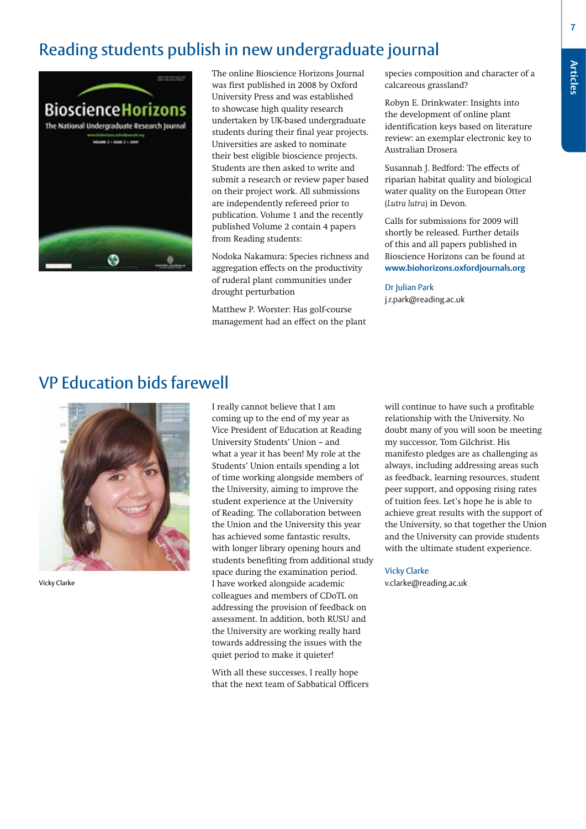## Reading students publish in new undergraduate journal



The online Bioscience Horizons Journal was first published in 2008 by Oxford University Press and was established to showcase high quality research undertaken by UK-based undergraduate students during their final year projects. Universities are asked to nominate their best eligible bioscience projects. Students are then asked to write and submit a research or review paper based on their project work. All submissions are independently refereed prior to publication. Volume 1 and the recently published Volume 2 contain 4 papers from Reading students:

Nodoka Nakamura: Species richness and aggregation effects on the productivity of ruderal plant communities under drought perturbation

Matthew P. Worster: Has golf-course management had an effect on the plant species composition and character of a calcareous grassland?

Robyn E. Drinkwater: Insights into the development of online plant identification keys based on literature review: an exemplar electronic key to Australian Drosera

Susannah J. Bedford: The effects of riparian habitat quality and biological water quality on the European Otter (*Lutra lutra*) in Devon.

Calls for submissions for 2009 will shortly be released. Further details of this and all papers published in Bioscience Horizons can be found at **www.biohorizons.oxfordjournals.org**

#### Dr Julian Park

j.r.park@reading.ac.uk

## VP Education bids farewell



Vicky Clarke

I really cannot believe that I am coming up to the end of my year as Vice President of Education at Reading University Students' Union – and what a year it has been! My role at the Students' Union entails spending a lot of time working alongside members of the University, aiming to improve the student experience at the University of Reading. The collaboration between the Union and the University this year has achieved some fantastic results, with longer library opening hours and students benefiting from additional study space during the examination period. I have worked alongside academic colleagues and members of CDoTL on addressing the provision of feedback on assessment. In addition, both RUSU and the University are working really hard towards addressing the issues with the quiet period to make it quieter!

With all these successes, I really hope that the next team of Sabbatical Officers will continue to have such a profitable relationship with the University. No doubt many of you will soon be meeting my successor, Tom Gilchrist. His manifesto pledges are as challenging as always, including addressing areas such as feedback, learning resources, student peer support, and opposing rising rates of tuition fees. Let's hope he is able to achieve great results with the support of the University, so that together the Union and the University can provide students with the ultimate student experience.

#### Vicky Clarke

v.clarke@reading.ac.uk

**Articles**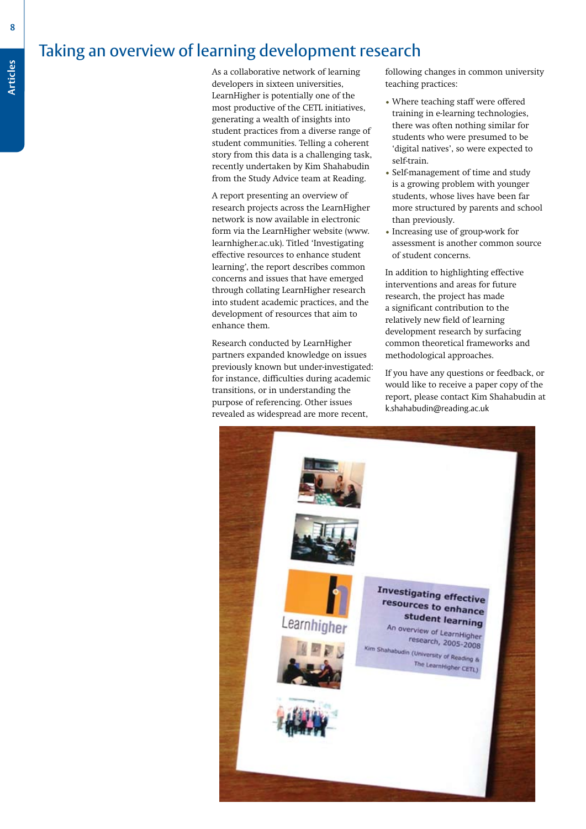## Taking an overview of learning development research

As a collaborative network of learning developers in sixteen universities, LearnHigher is potentially one of the most productive of the CETL initiatives, generating a wealth of insights into student practices from a diverse range of student communities. Telling a coherent story from this data is a challenging task, recently undertaken by Kim Shahabudin from the Study Advice team at Reading.

A report presenting an overview of research projects across the LearnHigher network is now available in electronic form via the LearnHigher website (www. learnhigher.ac.uk). Titled 'Investigating effective resources to enhance student learning', the report describes common concerns and issues that have emerged through collating LearnHigher research into student academic practices, and the development of resources that aim to enhance them.

Research conducted by LearnHigher partners expanded knowledge on issues previously known but under-investigated: for instance, difficulties during academic transitions, or in understanding the purpose of referencing. Other issues revealed as widespread are more recent,

following changes in common university teaching practices:

- Where teaching staff were offered training in e-learning technologies, there was often nothing similar for students who were presumed to be 'digital natives', so were expected to self-train.
- • Self-management of time and study is a growing problem with younger students, whose lives have been far more structured by parents and school than previously.
- • Increasing use of group-work for assessment is another common source of student concerns.

In addition to highlighting effective interventions and areas for future research, the project has made a significant contribution to the relatively new field of learning development research by surfacing common theoretical frameworks and methodological approaches.

If you have any questions or feedback, or would like to receive a paper copy of the report, please contact Kim Shahabudin at k.shahabudin@reading.ac.uk



**8**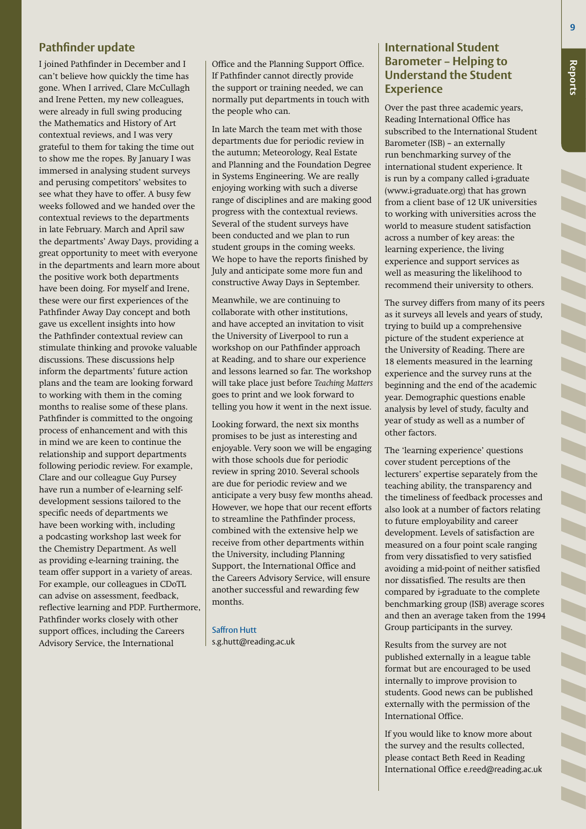#### **Pathfinder update**

I joined Pathfinder in December and I can't believe how quickly the time has gone. When I arrived, Clare McCullagh and Irene Petten, my new colleagues, were already in full swing producing the Mathematics and History of Art contextual reviews, and I was very grateful to them for taking the time out to show me the ropes. By January I was immersed in analysing student surveys and perusing competitors' websites to see what they have to offer. A busy few weeks followed and we handed over the contextual reviews to the departments in late February. March and April saw the departments' Away Days, providing a great opportunity to meet with everyone in the departments and learn more about the positive work both departments have been doing. For myself and Irene, these were our first experiences of the Pathfinder Away Day concept and both gave us excellent insights into how the Pathfinder contextual review can stimulate thinking and provoke valuable discussions. These discussions help inform the departments' future action plans and the team are looking forward to working with them in the coming months to realise some of these plans. Pathfinder is committed to the ongoing process of enhancement and with this in mind we are keen to continue the relationship and support departments following periodic review. For example, Clare and our colleague Guy Pursey have run a number of e-learning selfdevelopment sessions tailored to the specific needs of departments we have been working with, including a podcasting workshop last week for the Chemistry Department. As well as providing e-learning training, the team offer support in a variety of areas. For example, our colleagues in CDoTL can advise on assessment, feedback, reflective learning and PDP. Furthermore, Pathfinder works closely with other support offices, including the Careers Advisory Service, the International

Office and the Planning Support Office. If Pathfinder cannot directly provide the support or training needed, we can normally put departments in touch with the people who can.

In late March the team met with those departments due for periodic review in the autumn; Meteorology, Real Estate and Planning and the Foundation Degree in Systems Engineering. We are really enjoying working with such a diverse range of disciplines and are making good progress with the contextual reviews. Several of the student surveys have been conducted and we plan to run student groups in the coming weeks. We hope to have the reports finished by July and anticipate some more fun and constructive Away Days in September.

Meanwhile, we are continuing to collaborate with other institutions, and have accepted an invitation to visit the University of Liverpool to run a workshop on our Pathfinder approach at Reading, and to share our experience and lessons learned so far. The workshop will take place just before *Teaching Matters* goes to print and we look forward to telling you how it went in the next issue.

Looking forward, the next six months promises to be just as interesting and enjoyable. Very soon we will be engaging with those schools due for periodic review in spring 2010. Several schools are due for periodic review and we anticipate a very busy few months ahead. However, we hope that our recent efforts to streamline the Pathfinder process, combined with the extensive help we receive from other departments within the University, including Planning Support, the International Office and the Careers Advisory Service, will ensure another successful and rewarding few months.

Saffron Hutt s.g.hutt@reading.ac.uk

#### **International Student Barometer – Helping to Understand the Student Experience**

Over the past three academic years, Reading International Office has subscribed to the International Student Barometer (ISB) – an externally run benchmarking survey of the international student experience. It is run by a company called i-graduate (www.i-graduate.org) that has grown from a client base of 12 UK universities to working with universities across the world to measure student satisfaction across a number of key areas: the learning experience, the living experience and support services as well as measuring the likelihood to recommend their university to others.

The survey differs from many of its peers as it surveys all levels and years of study, trying to build up a comprehensive picture of the student experience at the University of Reading. There are 18 elements measured in the learning experience and the survey runs at the beginning and the end of the academic year. Demographic questions enable analysis by level of study, faculty and year of study as well as a number of other factors.

The 'learning experience' questions cover student perceptions of the lecturers' expertise separately from the teaching ability, the transparency and the timeliness of feedback processes and also look at a number of factors relating to future employability and career development. Levels of satisfaction are measured on a four point scale ranging from very dissatisfied to very satisfied avoiding a mid-point of neither satisfied nor dissatisfied. The results are then compared by i-graduate to the complete benchmarking group (ISB) average scores and then an average taken from the 1994 Group participants in the survey.

Results from the survey are not published externally in a league table format but are encouraged to be used internally to improve provision to students. Good news can be published externally with the permission of the International Office.

If you would like to know more about the survey and the results collected, please contact Beth Reed in Reading International Office e.reed@reading.ac.uk **Annoucements**

**Reports**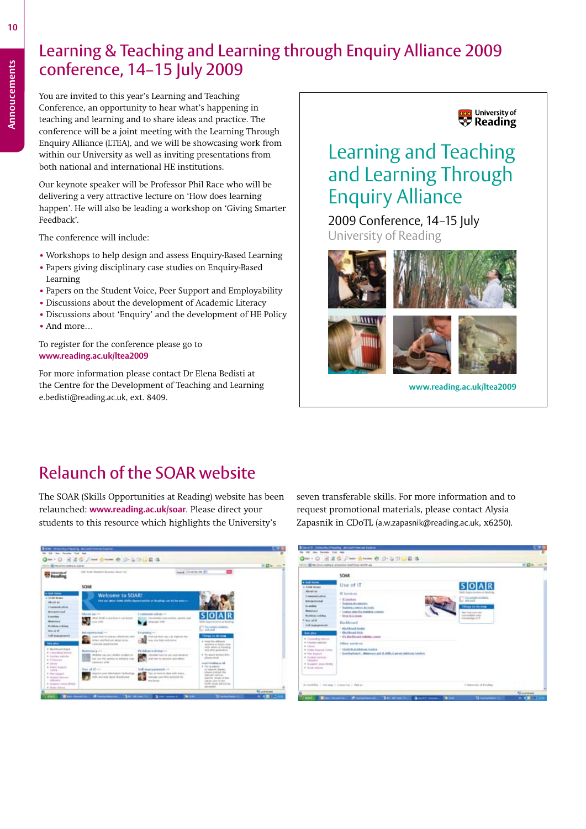## Learning & Teaching and Learning through Enquiry Alliance 2009 conference, 14–15 July 2009

You are invited to this year's Learning and Teaching Conference, an opportunity to hear what's happening in teaching and learning and to share ideas and practice. The conference will be a joint meeting with the Learning Through Enquiry Alliance (LTEA), and we will be showcasing work from within our University as well as inviting presentations from both national and international HE institutions.

Our keynote speaker will be Professor Phil Race who will be delivering a very attractive lecture on 'How does learning happen'. He will also be leading a workshop on 'Giving Smarter Feedback'.

The conference will include:

- **•** Workshops to help design and assess Enquiry-Based Learning
- **•** Papers giving disciplinary case studies on Enquiry-Based
- Learning **•** Papers on the Student Voice, Peer Support and Employability
- 
- **•** Discussions about the development of Academic Literacy
- **•** Discussions about 'Enquiry' and the development of HE Policy **•** And more…

#### To register for the conference please go to **www.reading.ac.uk/ltea2009**

For more information please contact Dr Elena Bedisti at the Centre for the Development of Teaching and Learning e.bedisti@reading.ac.uk, ext. 8409.



## Learning and Teaching and Learning Through Enquiry Alliance

2009 Conference, 14-15 July University of Reading



**www.reading.ac.uk/ltea2009**

## Relaunch of the SOAR website

The SOAR (Skills Opportunities at Reading) website has been relaunched: **www.reading.ac.uk/soar**. Please direct your students to this resource which highlights the University's



seven transferable skills. For more information and to request promotional materials, please contact Alysia Zapasnik in CDoTL (a.w.zapasnik@reading.ac.uk, x6250).

| <b>Citat Nome</b><br>a block down                                                                                                                                                                                                                               |                                                                                                                                                   |                                                                                        |  |
|-----------------------------------------------------------------------------------------------------------------------------------------------------------------------------------------------------------------------------------------------------------------|---------------------------------------------------------------------------------------------------------------------------------------------------|----------------------------------------------------------------------------------------|--|
|                                                                                                                                                                                                                                                                 | Use of IT                                                                                                                                         | $S$ O A R                                                                              |  |
| <b>SEIGE ALL</b><br><b>Experience and a</b><br>Integrational<br><b>Liquidae</b><br><b>Belleville</b><br><b>Building Inchine</b>                                                                                                                                 | If hardcas<br>/ IT locations<br>· Sublex Accessity<br>· Training a sweet by lowin<br>1 Longia alera ha traveles commo-<br>$-$ Direct St.A. Linear | C Strategic models<br>Things to do may<br><b>THE TOW HIS LINE</b><br>class makes inker |  |
| those and etc.<br><b>Ed materment</b><br><b>San allow</b><br>I Conselled based<br><b>A Facture audicity</b><br>+ steep<br>4 Volatiles Straussell Control<br>a Jun Equus.<br>& Museum beneficials<br>- Patrick St.<br>* Students' pron (KSIG)<br>4 Holly Asketer | <b>Blackbook</b><br>1 Min Should Availa<br>1 Electrical Units<br>1123 Backbook coldier, contr.                                                    | Edmandage of the                                                                       |  |
|                                                                                                                                                                                                                                                                 | <b>Diffused</b> module with<br>+ SANDORLA Adulture Institute<br>· Declination !: Between and II difficult airest debiton book or                  |                                                                                        |  |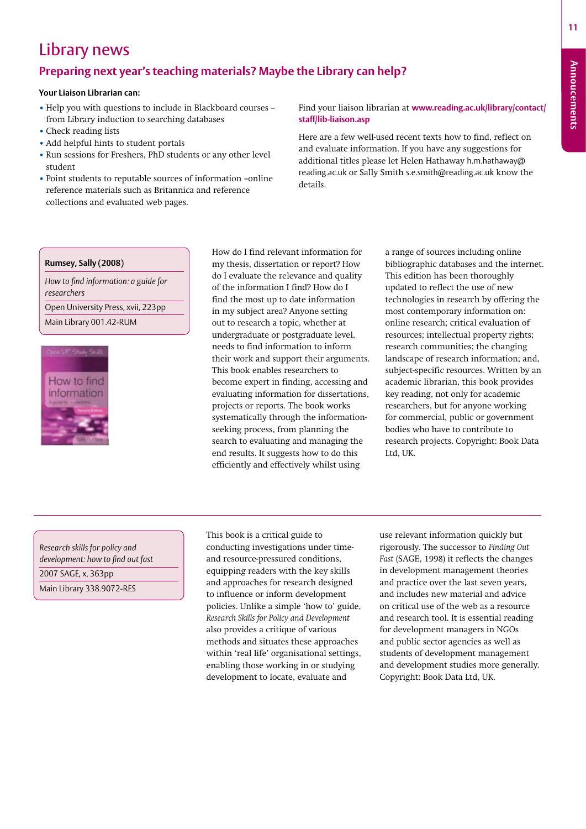**11**

## Library news

#### **Preparing next year's teaching materials? Maybe the Library can help?**

#### **Your Liaison Librarian can:**

- **•** Help you with questions to include in Blackboard courses from Library induction to searching databases
- **•** Check reading lists
- **•** Add helpful hints to student portals
- **•** Run sessions for Freshers, PhD students or any other level student
- **•** Point students to reputable sources of information –online reference materials such as Britannica and reference collections and evaluated web pages.

Find your liaison librarian at **www.reading.ac.uk/library/contact/ staff/lib-liaison.asp**

Here are a few well-used recent texts how to find, reflect on and evaluate information. If you have any suggestions for additional titles please let Helen Hathaway h.m.hathaway@ reading.ac.uk or Sally Smith s.e.smith@reading.ac.uk know the details.

#### **Rumsey, Sally (2008)**

*How to find information: a guide for researchers*

Open University Press, xvii, 223pp Main Library 001.42-RUM



How do I find relevant information for my thesis, dissertation or report? How do I evaluate the relevance and quality of the information I find? How do I find the most up to date information in my subject area? Anyone setting out to research a topic, whether at undergraduate or postgraduate level, needs to find information to inform their work and support their arguments. This book enables researchers to become expert in finding, accessing and evaluating information for dissertations, projects or reports. The book works systematically through the informationseeking process, from planning the search to evaluating and managing the end results. It suggests how to do this efficiently and effectively whilst using

a range of sources including online bibliographic databases and the internet. This edition has been thoroughly updated to reflect the use of new technologies in research by offering the most contemporary information on: online research; critical evaluation of resources; intellectual property rights; research communities; the changing landscape of research information; and, subject-specific resources. Written by an academic librarian, this book provides key reading, not only for academic researchers, but for anyone working for commercial, public or government bodies who have to contribute to research projects. Copyright: Book Data Ltd, UK.

*Research skills for policy and development: how to find out fast* 2007 SAGE, x, 363pp Main Library 338.9072-RES

This book is a critical guide to conducting investigations under timeand resource-pressured conditions, equipping readers with the key skills and approaches for research designed to influence or inform development policies. Unlike a simple 'how to' guide, *Research Skills for Policy and Development* also provides a critique of various methods and situates these approaches within 'real life' organisational settings, enabling those working in or studying development to locate, evaluate and

use relevant information quickly but rigorously. The successor to *Finding Out Fast* (SAGE, 1998) it reflects the changes in development management theories and practice over the last seven years, and includes new material and advice on critical use of the web as a resource and research tool. It is essential reading for development managers in NGOs and public sector agencies as well as students of development management and development studies more generally. Copyright: Book Data Ltd, UK.